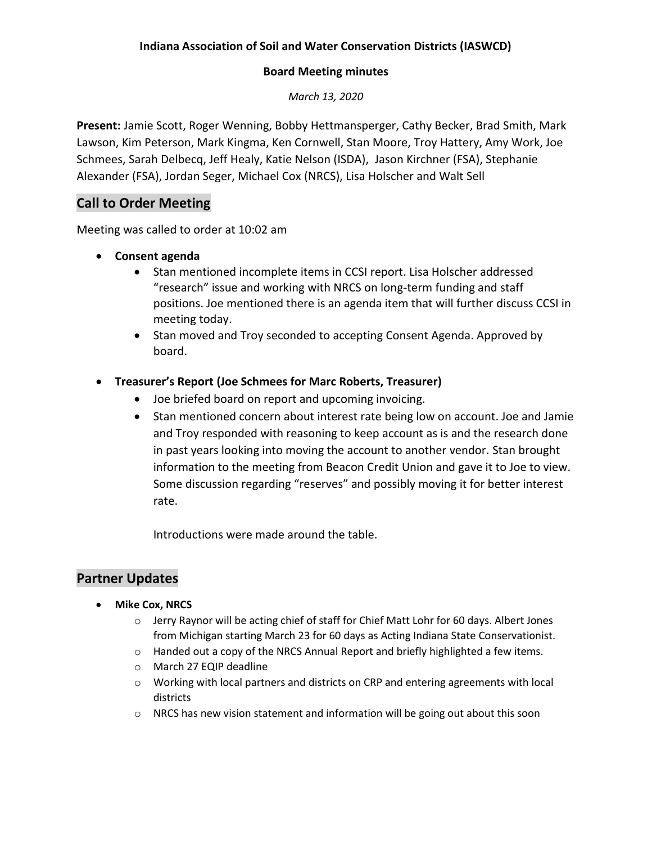## **Indiana Association of Soil and Water Conservation Districts (IASWCD)**

#### **Board Meeting minutes**

*March 13, 2020*

**Present:** Jamie Scott, Roger Wenning, Bobby Hettmansperger, Cathy Becker, Brad Smith, Mark Lawson, Kim Peterson, Mark Kingma, Ken Cornwell, Stan Moore, Troy Hattery, Amy Work, Joe Schmees, Sarah Delbecq, Jeff Healy, Katie Nelson (ISDA), Jason Kirchner (FSA), Stephanie Alexander (FSA), Jordan Seger, Michael Cox (NRCS), Lisa Holscher and Walt Sell

# **Call to Order Meeting**

Meeting was called to order at 10:02 am

- **Consent agenda** 
	- Stan mentioned incomplete items in CCSI report. Lisa Holscher addressed "research" issue and working with NRCS on long-term funding and staff positions. Joe mentioned there is an agenda item that will further discuss CCSI in meeting today.
	- Stan moved and Troy seconded to accepting Consent Agenda. Approved by board.

## **Treasurer's Report (Joe Schmees for Marc Roberts, Treasurer)**

- Joe briefed board on report and upcoming invoicing.
- Stan mentioned concern about interest rate being low on account. Joe and Jamie and Troy responded with reasoning to keep account as is and the research done in past years looking into moving the account to another vendor. Stan brought information to the meeting from Beacon Credit Union and gave it to Joe to view. Some discussion regarding "reserves" and possibly moving it for better interest rate.

Introductions were made around the table.

## **Partner Updates**

- **•** Mike Cox, NRCS
	- o Jerry Raynor will be acting chief of staff for Chief Matt Lohr for 60 days. Albert Jones from Michigan starting March 23 for 60 days as Acting Indiana State Conservationist.
	- $\circ$  Handed out a copy of the NRCS Annual Report and briefly highlighted a few items.
	- o March 27 EQIP deadline
	- o Working with local partners and districts on CRP and entering agreements with local districts
	- $\circ$  NRCS has new vision statement and information will be going out about this soon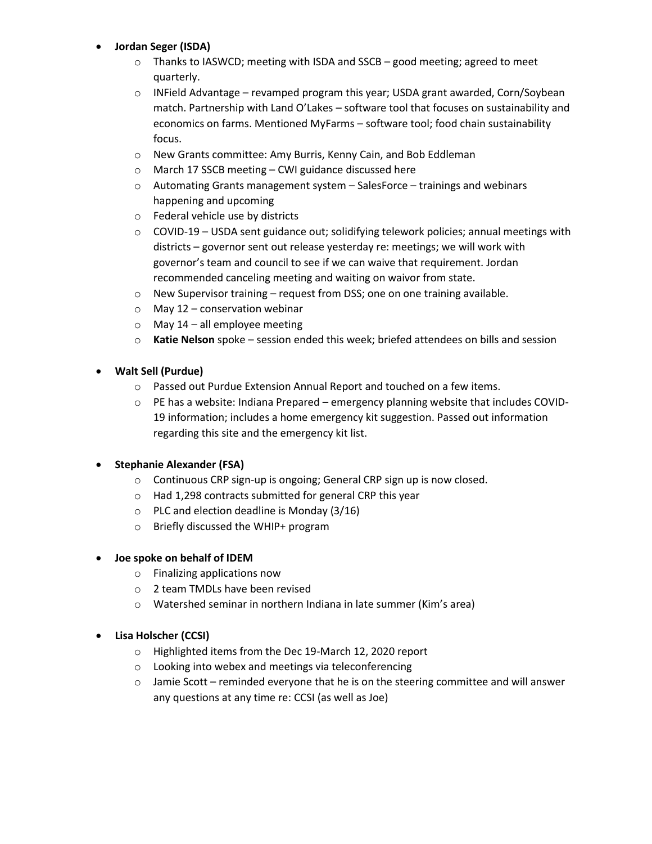#### **Jordan Seger (ISDA)**

- $\circ$  Thanks to IASWCD; meeting with ISDA and SSCB good meeting; agreed to meet quarterly.
- o INField Advantage revamped program this year; USDA grant awarded, Corn/Soybean match. Partnership with Land O'Lakes – software tool that focuses on sustainability and economics on farms. Mentioned MyFarms – software tool; food chain sustainability focus.
- o New Grants committee: Amy Burris, Kenny Cain, and Bob Eddleman
- o March 17 SSCB meeting CWI guidance discussed here
- $\circ$  Automating Grants management system SalesForce trainings and webinars happening and upcoming
- o Federal vehicle use by districts
- $\circ$  COVID-19 USDA sent guidance out; solidifying telework policies; annual meetings with districts – governor sent out release yesterday re: meetings; we will work with governor's team and council to see if we can waive that requirement. Jordan recommended canceling meeting and waiting on waivor from state.
- o New Supervisor training request from DSS; one on one training available.
- $\circ$  May 12 conservation webinar
- $\circ$  May 14 all employee meeting
- o **Katie Nelson** spoke session ended this week; briefed attendees on bills and session

#### **Walt Sell (Purdue)**

- o Passed out Purdue Extension Annual Report and touched on a few items.
- o PE has a website: Indiana Prepared emergency planning website that includes COVID-19 information; includes a home emergency kit suggestion. Passed out information regarding this site and the emergency kit list.

### **Stephanie Alexander (FSA)**

- o Continuous CRP sign-up is ongoing; General CRP sign up is now closed.
- o Had 1,298 contracts submitted for general CRP this year
- o PLC and election deadline is Monday (3/16)
- o Briefly discussed the WHIP+ program

#### **Joe spoke on behalf of IDEM**

- o Finalizing applications now
- o 2 team TMDLs have been revised
- o Watershed seminar in northern Indiana in late summer (Kim's area)

#### **Lisa Holscher (CCSI)**

- o Highlighted items from the Dec 19-March 12, 2020 report
- o Looking into webex and meetings via teleconferencing
- $\circ$  Jamie Scott reminded everyone that he is on the steering committee and will answer any questions at any time re: CCSI (as well as Joe)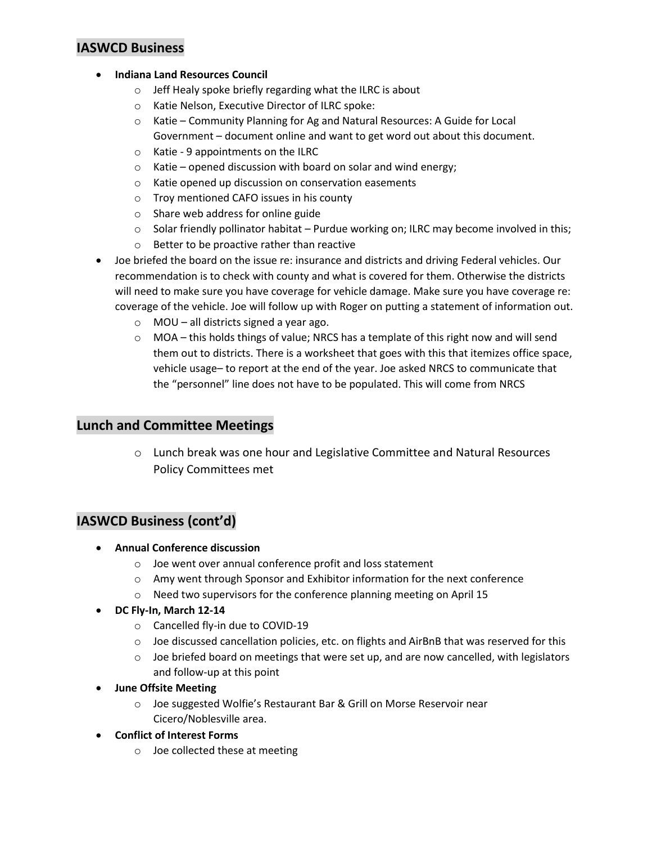## **IASWCD Business**

- **Indiana Land Resources Council** 
	- o Jeff Healy spoke briefly regarding what the ILRC is about
	- o Katie Nelson, Executive Director of ILRC spoke:
	- o Katie Community Planning for Ag and Natural Resources: A Guide for Local Government – document online and want to get word out about this document.
	- o Katie 9 appointments on the ILRC
	- $\circ$  Katie opened discussion with board on solar and wind energy;
	- o Katie opened up discussion on conservation easements
	- o Troy mentioned CAFO issues in his county
	- o Share web address for online guide
	- $\circ$  Solar friendly pollinator habitat Purdue working on; ILRC may become involved in this;
	- o Better to be proactive rather than reactive
- Joe briefed the board on the issue re: insurance and districts and driving Federal vehicles. Our recommendation is to check with county and what is covered for them. Otherwise the districts will need to make sure you have coverage for vehicle damage. Make sure you have coverage re: coverage of the vehicle. Joe will follow up with Roger on putting a statement of information out.
	- o MOU all districts signed a year ago.
	- $\circ$  MOA this holds things of value; NRCS has a template of this right now and will send them out to districts. There is a worksheet that goes with this that itemizes office space, vehicle usage– to report at the end of the year. Joe asked NRCS to communicate that the "personnel" line does not have to be populated. This will come from NRCS

### **Lunch and Committee Meetings**

 $\circ$  Lunch break was one hour and Legislative Committee and Natural Resources Policy Committees met

### **IASWCD Business (cont'd)**

- **Annual Conference discussion**
	- o Joe went over annual conference profit and loss statement
	- o Amy went through Sponsor and Exhibitor information for the next conference
	- o Need two supervisors for the conference planning meeting on April 15
- **DC Fly-In, March 12-14**
	- o Cancelled fly-in due to COVID-19
	- $\circ$  Joe discussed cancellation policies, etc. on flights and AirBnB that was reserved for this
	- $\circ$  Joe briefed board on meetings that were set up, and are now cancelled, with legislators and follow-up at this point
- **June Offsite Meeting**
	- o Joe suggested Wolfie's Restaurant Bar & Grill on Morse Reservoir near Cicero/Noblesville area.
- **Conflict of Interest Forms**
	- o Joe collected these at meeting